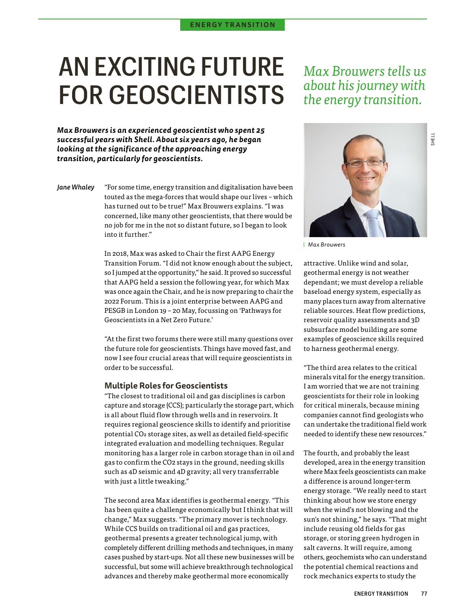# AN EXCITING FUTURE FOR GEOSCIENTISTS

*Max Brouwers is an experienced geoscientist who spent 25 successful years with Shell. About six years ago, he began looking at the significance of the approaching energy transition, particularly for geoscientists.* 

*Jane Whaley* "For some time, energy transition and digitalisation have been touted as the mega-forces that would shape our lives – which has turned out to be true!" Max Brouwers explains. "I was concerned, like many other geoscientists, that there would be no job for me in the not so distant future, so I began to look into it further."

> In 2018, Max was asked to Chair the first AAPG Energy Transition Forum. "I did not know enough about the subject, so I jumped at the opportunity," he said. It proved so successful that AAPG held a session the following year, for which Max was once again the Chair, and he is now preparing to chair the 2022 Forum. This is a joint enterprise between AAPG and PESGB in London 19 – 20 May, focussing on 'Pathways for Geoscientists in a Net Zero Future.'

> "At the first two forums there were still many questions over the future role for geoscientists. Things have moved fast, and now I see four crucial areas that will require geoscientists in order to be successful.

#### **Multiple Roles for Geoscientists**

"The closest to traditional oil and gas disciplines is carbon capture and storage (CCS); particularly the storage part, which is all about fluid flow through wells and in reservoirs. It requires regional geoscience skills to identify and prioritise potential CO2 storage sites, as well as detailed field-specific integrated evaluation and modelling techniques. Regular monitoring has a larger role in carbon storage than in oil and gas to confirm the CO2 stays in the ground, needing skills such as 4D seismic and 4D gravity; all very transferrable with just a little tweaking."

The second area Max identifies is geothermal energy. "This has been quite a challenge economically but I think that will change," Max suggests. "The primary mover is technology. While CCS builds on traditional oil and gas practices, geothermal presents a greater technological jump, with completely different drilling methods and techniques, in many cases pushed by start-ups. Not all these new businesses will be successful, but some will achieve breakthrough technological advances and thereby make geothermal more economically

## *Max Brouwers tells us about his journey with the energy transition.*



*Max Brouwers*

attractive. Unlike wind and solar, geothermal energy is not weather dependant; we must develop a reliable baseload energy system, especially as many places turn away from alternative reliable sources. Heat flow predictions, reservoir quality assessments and 3D subsurface model building are some examples of geoscience skills required to harness geothermal energy.

"The third area relates to the critical minerals vital for the energy transition. I am worried that we are not training geoscientists for their role in looking for critical minerals, because mining companies cannot find geologists who can undertake the traditional field work needed to identify these new resources."

The fourth, and probably the least developed, area in the energy transition where Max feels geoscientists can make a difference is around longer-term energy storage. "We really need to start thinking about how we store energy when the wind's not blowing and the sun's not shining," he says. "That might include reusing old fields for gas storage, or storing green hydrogen in salt caverns. It will require, among others, geochemists who can understand the potential chemical reactions and rock mechanics experts to study the